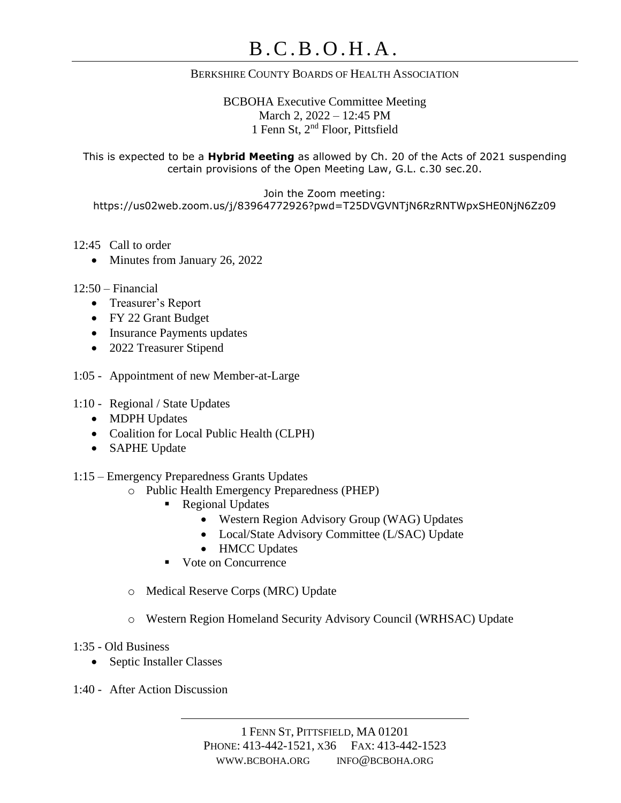## BERKSHIRE COUNTY BOARDS OF HEALTH ASSOCIATION

BCBOHA Executive Committee Meeting March 2, 2022 – 12:45 PM 1 Fenn St, 2nd Floor, Pittsfield

This is expected to be a **Hybrid Meeting** as allowed by Ch. 20 of the Acts of 2021 suspending certain provisions of the Open Meeting Law, G.L. c.30 sec.20.

Join the Zoom meeting: https://us02web.zoom.us/j/83964772926?pwd=T25DVGVNTjN6RzRNTWpxSHE0NjN6Zz09

- 12:45 Call to order
	- Minutes from January 26, 2022

 $12:50$  – Financial

- Treasurer's Report
- FY 22 Grant Budget
- Insurance Payments updates
- 2022 Treasurer Stipend
- 1:05 Appointment of new Member-at-Large
- 1:10 Regional / State Updates
	- MDPH Updates
	- Coalition for Local Public Health (CLPH)
	- SAPHE Update
- 1:15 Emergency Preparedness Grants Updates
	- o Public Health Emergency Preparedness (PHEP)
		- Regional Updates
			- Western Region Advisory Group (WAG) Updates
			- Local/State Advisory Committee (L/SAC) Update
			- HMCC Updates
		- Vote on Concurrence
	- o Medical Reserve Corps (MRC) Update
	- o Western Region Homeland Security Advisory Council (WRHSAC) Update
- 1:35 Old Business
	- Septic Installer Classes
- 1:40 After Action Discussion